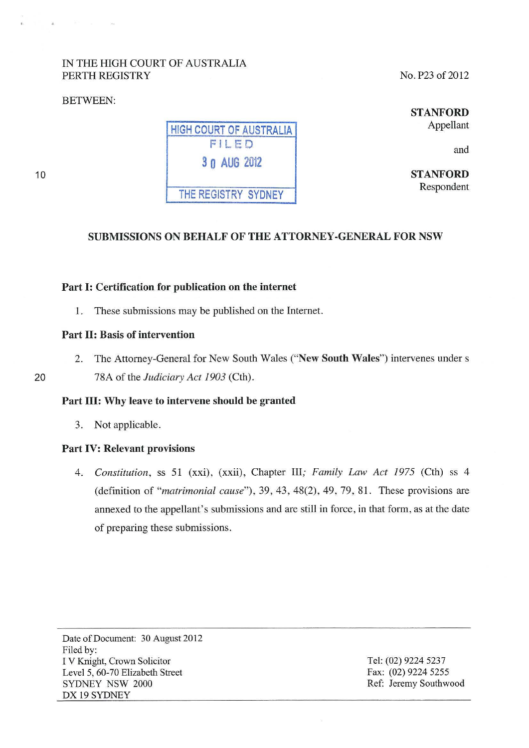# IN THE HIGH COURT OF AUSTRALIA PERTH REGISTRY

### BETWEEN:

No. P23 of 2012

STANFORD Appellant

and

**STANFORD** Respondent

## SUBMISSIONS ON BEHALF OF THE ATTORNEY -GENERAL FOR NSW

#### Part I: Certification for publication on the internet

1. These submissions may be published on the Internet.

### Part II: Basis of intervention

2. The Attorney-General for New South Wales ("New South Wales") intervenes under s 78A of the *Judiciary Act 1903* (Cth).

# Part III: Why leave to intervene should be granted

3. Not applicable.

## Part IV: Relevant provisions

4. *Constitution,* ss 51 (xxi), (xxii), Chapter III; *Family Law Act 1975* (Cth) ss 4 (definition of *"matrimonial cause"),* 39, 43, 48(2), 49, 79, 81. These provisions are annexed to the appellant's submissions and are still in force, in that form, as at the date of preparing these submissions.

Date of Document: 30 August 2012 Filed by: I V Knight, Crown Solicitor Level 5, 60-70 Elizabeth Street SYDNEY NSW 2000 DX 19 SYDNEY

Tel: (02) 9224 5237 Fax: (02) 9224 5255 Ref: Jeremy Southwood

HIGH COURT OF AUSTRALIA FILED **3 0 AUG** 2012 THE REGISTRY SYDNEY

20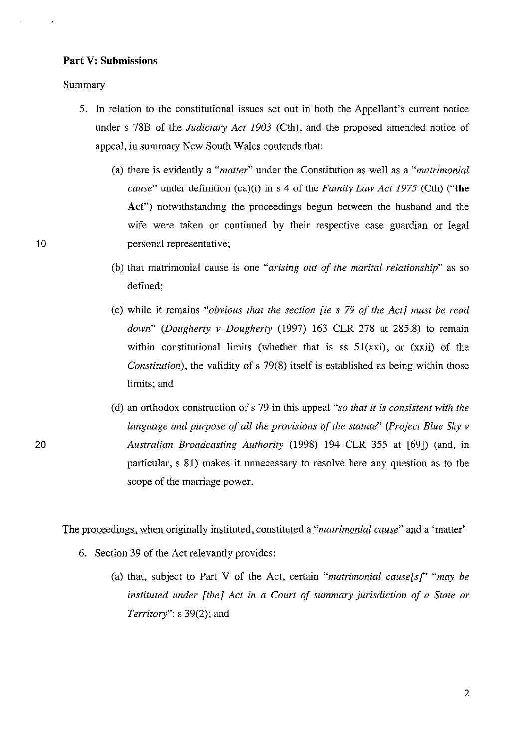#### **Part V: Submissions**

Summary

- 5. In relation to the constitutional issues set out in both the Appellant's current notice under s 78B of the *Judiciary Act 1903* (Cth), and the proposed amended notice of appeal, in summary New South Wales contends that:
	- (a) there is evidently a *"matter"* under the Constitution as well as a *"matrimonial cause"* under definition (ca)(i) in s 4 of the *Family Law Act 1975* (Cth) **("the Act")** notwithstanding the proceedings begun between the husband and the wife were taken or continued by their respective case guardian or legal personal representative;
	- (b) that matrimonial cause is one *"arising out of the marital relationship"* as so defined;
	- (c) while it remains *"obvious that the section [ie* s *79 of the Act] must be read down" (Dougherty v Dougherty* (1997) 163 CLR 278 at 285.8) to remain within constitutional limits (whether that is ss  $51(xxi)$ , or  $(xxii)$  of the *Constitution*), the validity of s 79(8) itself is established as being within those limits; and
	- (d) an orthodox construction of s 79 in this appeal *"so that it is consistent with the language and purpose of all the provisions of the statute" (Project Blue Sky v Australian Broadcasting Authority* (1998) 194 CLR 355 at [69]) (and, in particular, s 81) makes it unnecessary to resolve here any question as to the scope of the marriage power.

The proceedings, when originally instituted, constituted a "*matrimonial cause*" and a 'matter'

- 6. Section 39 of the Act relevantly provides:
	- (a) that, subject to Part V of the Act, certain *"matrimonial cause[s]" "may be instituted under [the] Act in a Court of summary jurisdiction of a State or Territory":* s 39(2); and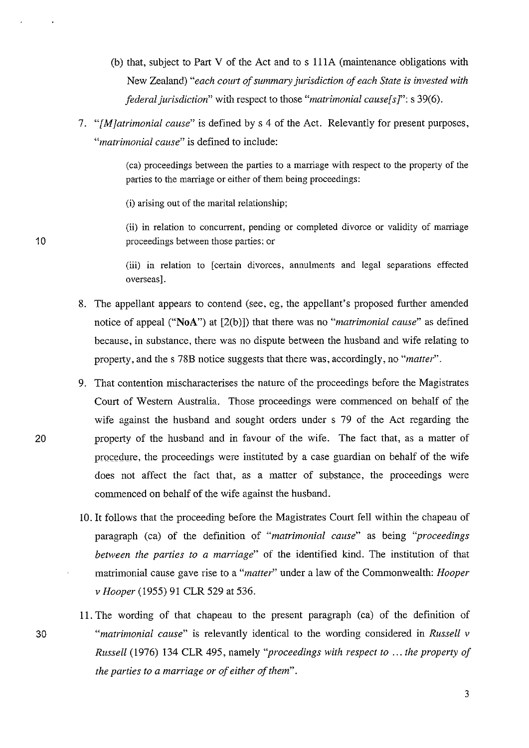- (b) that, subject to Part V of the Act and to  $s$  111A (maintenance obligations with New Zealand) *"each court of summary jurisdiction of each State is invested with federal jurisdiction"* with respect to those *"matrimonial cause[s]":* s 39(6).
- 7. *"[M]atrimonial cause"* is defined by s 4 of the Act. Relevantly for present purposes, *"matrimonial cause"* is defined to include:

( ca) proceedings between the parties to a marriage with respect to the property of the parties to the marriage or either of them being proceedings:

(i) arising out of the marital relationship;

(ii) in relation to concurrent, pending or completed divorce or validity of marriage proceedings between those parties; or

(iii) in relation to [certain divorces, annulments and legal separations effected overseas].

- 8. The appellant appears to contend (see, eg, the appellant's proposed further amended notice of appeal ("NoA") at [2(b)]) that there was no "*matrimonial cause*" as defined because, in substance, there was no dispute between the husband and wife relating to property, and the s 78B notice suggests that there was, accordingly, no *"matter".*
- 9. That contention mischaracterises the nature of the proceedings before the Magistrates Court of Western Australia. Those proceedings were commenced on behalf of the wife against the husband and sought orders under s 79 of the Act regarding the property of the husband and in favour of the wife. The fact that, as a matter of procedure, the proceedings were instituted by a case guardian on behalf of the wife does not affect the fact that, as a matter of substance, the proceedings were commenced on behalf of the wife against the husband.
- 10. It follows that the proceeding before the Magistrates Court fell within the chapeau of paragraph (ca) of the definition of *"matrimonial cause"* as being *"proceedings between the parties to a marriage"* of the identified kind. The institution of that matrimonial cause gave rise to a *"matter"* under a law of the Commonwealth: *Hooper v Hooper* (1955) 91 CLR 529 at 536.
- 11. The wording of that chapeau to the present paragraph (ca) of the definition of *"matrimonial cause"* is relevantly identical to the wording considered in *Russell v Russell* (1976) 134 CLR 495, namely *"proceedings with respect to* ... *the property of the parties to a marriage or of either of them".*

20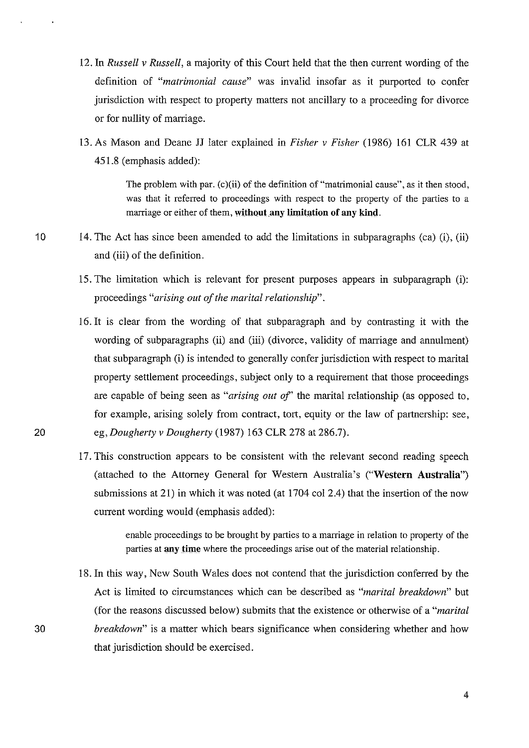- 12. In *Russell v Russell,* a majority of this Court held that the then current wording of the definition of *"matrimonial cause"* was invalid insofar as it purported to confer jurisdiction with respect to property matters not ancillary to a proceeding for divorce or for nullity of marriage.
- 13. As Mason and Deane JJ later explained in *Fisher v Fisher* (1986) 161 CLR 439 at 451.8 (emphasis added):

The problem with par.  $(c)(ii)$  of the definition of "matrimonial cause", as it then stood, was that it referred to proceedings with respect to the property of the parties to a marriage or either of them, without any limitation of any kind.

- 10 14. The Act has since been amended to add the limitations in subparagraphs (ca) (i), (ii) and (iii) of the definition.
	- 15. The limitation which is relevant for present purposes appears in subparagraph (i): proceedings *"arising out of the marital relationship".*
	- 16. It is clear from the wording of that subparagraph and by contrasting it with the wording of subparagraphs (ii) and (iii) (divorce, validity of marriage and annulment) that subparagraph (i) is intended to generally confer jurisdiction with respect to marital property settlement proceedings, subject only to a requirement that those proceedings are capable of being seen as *"arising out of'* the marital relationship (as opposed to, for example, arising solely from contract, tort, equity or the law of partnership: see, *eg,Dougherty v Dougherty* (1987) 163 CLR 278 at 286.7).
	- 17. This construction appears to be consistent with the relevant second reading speech (attached to the Attorney General for Western Australia's **("Western Australia")**  submissions at 21) in which it was noted (at  $1704 \text{ col } 2.4$ ) that the insertion of the now current wording would (emphasis added):

enable proceedings to be brought by parties to a marriage in relation to property of the parties at any **time** where the proceedings arise out of the material relationship.

18. In this way, New South Wales does not contend that the jurisdiction conferred by the Act is limited to circumstances which can be described as *"marital breakdown"* but (for the reasons discussed below) submits that the existence or otherwise of a *"marital breakdown"* is a matter which bears significance when considering whether and how that jurisdiction should be exercised.

20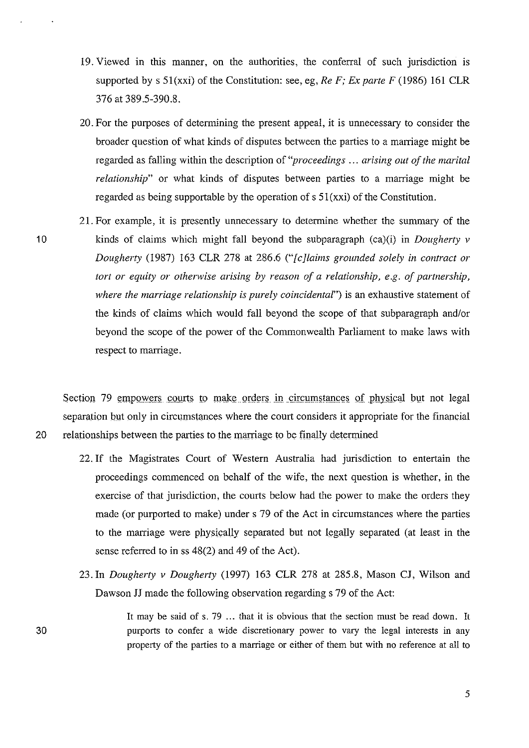- 19. Viewed in this manner, on the authorities, the conferral of such jurisdiction is supported by s 5l(xxi) of the Constitution: see, eg, *ReF; Ex parte F* (1986) 161 CLR 376 at 389.5-390.8.
- 20. For the purposes of determining the present appeal, it is unnecessary to consider the broader question of what kinds of disputes between the parties to a marriage might be regarded as falling within the description of *"proceedings* ... *arising out of the marital relationship"* or what kinds of disputes between parties to a marriage might be regarded as being supportable by the operation of  $s 51(xxi)$  of the Constitution.
- 21. For example, it is presently unnecessary to determine whether the summary of the kinds of claims which might fall beyond the subparagraph (ca)(i) in *Dougherty v Dougherty* (1987) 163 CLR 278 at 286.6 *("[c]laims grounded solely in contract or tort or equity or otherwise arising by reason of a relationship, e.g. of partnership,*  where the marriage relationship is purely coincidental") is an exhaustive statement of the kinds of claims which would fall beyond the scope of that subparagraph and/or beyond the scope of the power of the Commonwealth Parliament to make laws with respect to marriage.

10

30

Section 79 empowers courts to make orders in circumstances of physical but not legal separation but only in circumstances where the court considers it appropriate for the financial 20 relationships between the parties to the marriage to be finally determined

- 22. If the Magistrates Court of Western Australia had jurisdiction to entertain the proceedings commenced on behalf of the wife, the next question is whether, in the exercise of that jurisdiction, the courts below had the power to make the orders they made (or purported to make) under s 79 of the Act in circumstances where the parties to the marriage were physically separated but not legally separated (at least in the sense referred to in ss 48(2) and 49 of the Act).
- 23. In *Dougherty v Dougherty* (1997) 163 CLR 278 at 285.8, Mason CJ, Wilson and Dawson JJ made the following observation regarding s 79 of the Act:
	- It may be said of s. 79 ... that it is obvious that the section must be read down. It purports to confer a wide discretionary power to vary the legal interests in any property of the parties to a marriage or either of them but with no reference at all to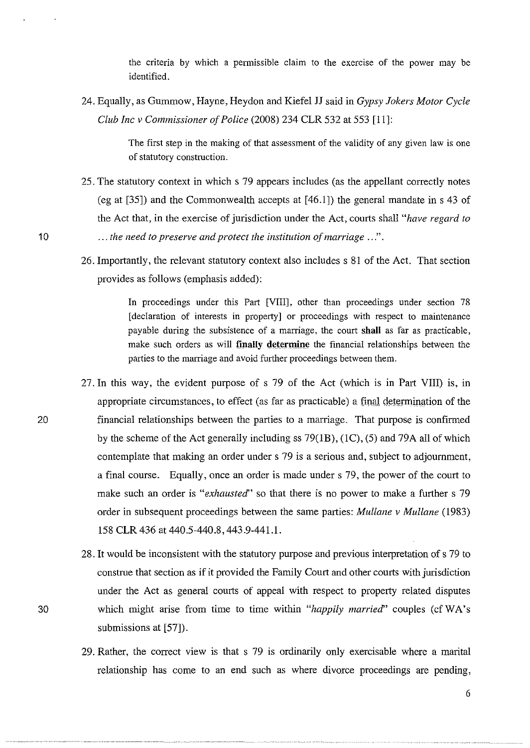the criteria by which a permissible claim to the exercise of the power may be identified.

24. Equally, as Gummow, Hayne, Heydon and Kiefel JJ said in *Gypsy Jokers Motor Cycle Club Inc v Commissioner of Police* (2008) 234 CLR 532 at 553 [11]:

> The first step in the making of that assessment of the validity of any given law is one of statutory construction.

- 25. The statutory context in which s 79 appears includes (as the appellant correctly notes (eg at [35]) and the Commonwealth accepts at [46.1]) the general mandate ins 43 of the Act that, in the exercise of jurisdiction under the Act, courts shall *"have regard to*  ... *the need to preserve and protect the institution of marriage* ... ".
- 26. Importantly, the relevant statutory context also includes s 81 of the Act. That section provides as follows (emphasis added):

In proceedings under this Part [VIII], other than proceedings under section 78 [declaration of interests in property] or proceedings with respect to maintenance payable during the subsistence of a marriage, the court shall as far as practicable, make such orders as will **finally determine** the financial relationships between the parties to the marriage and avoid further proceedings between them.

- 27. In this way, the evident purpose of s 79 of the Act (which is in Part VIII) is, in appropriate circumstances, to effect (as far as practicable) a final determimttion of the financial relationships between the parties to a marriage. That purpose is confirmed by the scheme of the Act generally including ss 79(1B), (!C), (5) and 79A all of which contemplate that making an order under s 79 is a serious and, subject to adjournment, a final course. Equally, once an order is made under s 79, the power of the court to make such an order is *"exhausted''* so that there is no power to make a further s 79 order in subsequent proceedings between the same parties: *Mullane v Mullane* (1983) 158 CLR 436 at 440.5-440.8,443.9-441.1.
	- 28. It would be inconsistent with the statutory purpose and previous interpretation of s 79 to construe that section as if it provided the Family Court and other courts with jurisdiction under the Act as general courts of appeal with respect to property related disputes which might arise from time to time within *"happily married''* couples (cf WA's submissions at [57]).
- 29. Rather, the correct view is that s 79 is ordinarily only exercisable where a marital relationship has come to an end such as where divorce proceedings are pending,

10

30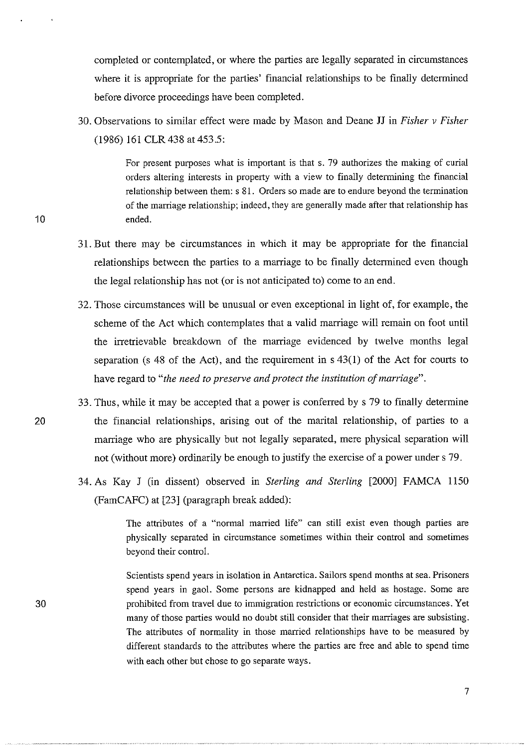completed or contemplated, or where the parties are legally separated in circumstances where it is appropriate for the parties' financial relationships to be finally determined before divorce proceedings have been completed.

30. Observations to similar effect were made by Mason and Deane JJ in *Fisher v Fisher*  (1986) 161 CLR 438 at 453.5:

> For present purposes what is important is that s. 79 authorizes the making of curial orders altering interests in property with a view to finally determining the financial relationship between them: s 81. Orders so made are to endure beyond the termination of the marriage relationship; indeed, they are generally made after that relationship has ended.

- 31. But there may be circumstances in which it may be appropriate for the financial relationships between the parties to a marriage to be finally determined even though the legal relationship has not (or is not anticipated to) come to an end.
- 32. Those circumstances will be unusual or even exceptional in light of, for example, the scheme of the Act which contemplates that a valid marriage will remain on foot until the irretrievable breakdown of the marriage evidenced by twelve months legal separation (s 48 of the Act), and the requirement in s 43(1) of the Act for courts to have regard to *"the need to preserve and protect the institution of marriage".*
- 33. Thus, while it may be accepted that a power is conferred by s 79 to finally determine the financial relationships, arising out of the marital relationship, of parties to a marriage who are physically but not legally separated, mere physical separation will not (without more) ordinarily be enough to justify the exercise of a power under s 79.
- 34. As Kay J (in dissent) observed in *Sterling and Sterling* [2000] FAMCA 1150 (FamCAFC) at [23] (paragraph break added):

The attributes of a "normal married life" can still exist even though parties are physically separated in circumstance sometimes within their control and sometimes beyond their control.

Scientists spend years in isolation in Antarctica. Sailors spend months at sea. Prisoners spend years in gaol. Some persons are kidnapped and held as hostage. Some are prohibited from travel due to immigration restrictions or economic circumstances. Yet many of those parties would no doubt still consider that their marriages are subsisting. The attributes of normality in those married relationships have to be measured by different standards to the attributes where the parties are free and able to spend time with each other but chose to go separate ways.

10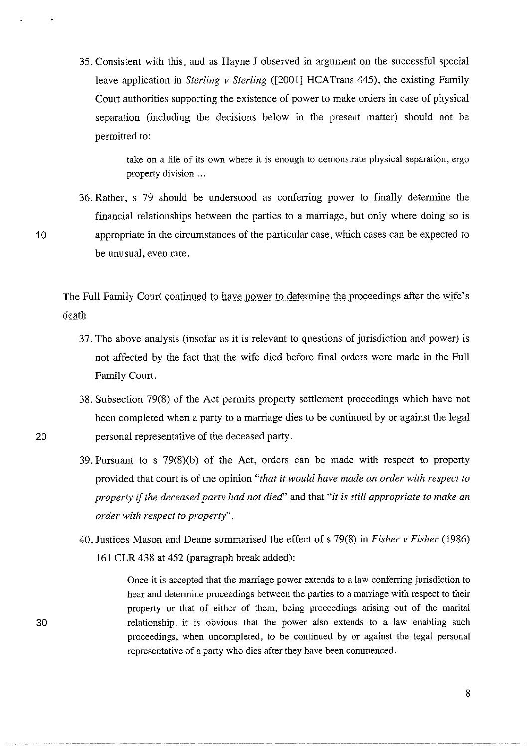35. Consistent with this, and as Hayne J observed in argument on the successful special leave application in *Sterling v Sterling* ([2001] HCATrans 445), the existing Family Court authorities supporting the existence of power to make orders in case of physical separation (including the decisions below in the present matter) should not be permitted to:

> take on a life of its own where it is enough to demonstrate physical separation, ergo property division ...

36. Rather, s 79 should be understood as conferring power to finally determine the financial relationships between the parties to a marriage, but only where doing so is appropriate in the circumstances of the particular case, which cases can be expected to be unusual, even rare.

The Full Family Court continued to have power to determine the proceedings after the wife's death

- 37. The above analysis (insofar as it is relevant to questions of jurisdiction and power) is not affected by the fact that the wife died before final orders were made in the Full Family Court.
- 38. Subsection 79(8) of the Act permits property settlement proceedings which have not been completed when a party to a marriage dies to be continued by or against the legal personal representative of the deceased party.
- 39. Pursuant to s 79(8)(b) of the Act, orders can be made with respect to property provided that court is of the opinion *"that it would have made an order with respect to property* if *the deceased party had not diecf'* and that *"it* is *still appropriate to make an order with respect to property".*
- 40. Justices Mason and Deane summarised the effect of s 79(8) in *Fisher v Fisher* (1986) 161 CLR 438 at 452 (paragraph break added):

Once it is accepted that the marriage power extends to a law conferring jurisdiction to hear and determine proceedings between the parties to a marriage with respect to their property or that of either of them, being proceedings arising out of the marital relationship, it is obvious that the power also extends to a law enabling such proceedings, when uncompleted, to be continued by or against the legal personal representative of a party who dies after they have been commenced.

20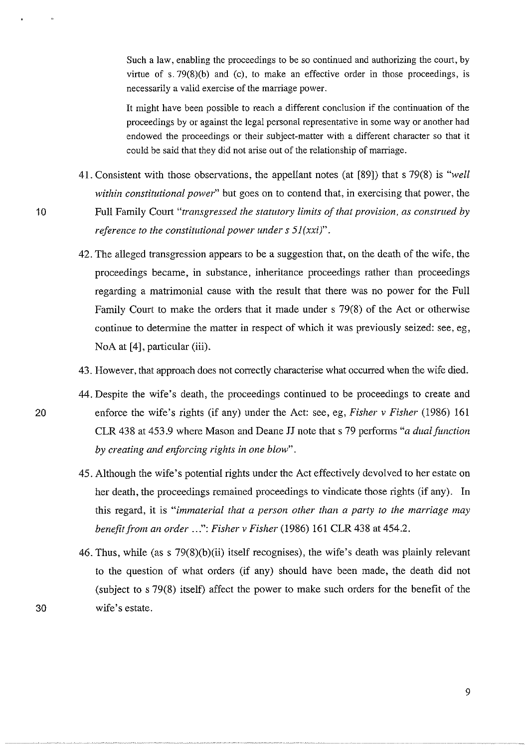Such a law, enabling the proceedings to be so continued and authorizing the court, by virtue of s. 79(8)(b) and (c), to make an effective order in those proceedings, is necessarily a valid exercise of the marriage power.

It might have been possible to reach a different conclusion if the continuation of the proceedings by or against the legal personal representative in some way or another had endowed the proceedings or their subject-matter with a different character so that it could be said that they did not arise out of the relationship of marriage.

- 41. Consistent with those observations, the appellant notes (at [89]) that s 79(8) is *"well within constitutional power"* but goes on to contend that, in exercising that power, the Full Family Court *"transgressed the statutory limits of that provision, as construed by reference to the constitutional power under s 51(xxi)".*
- 42. The alleged transgression appears to be a suggestion that, on the death of the wife, the proceedings became, in substance, inheritance proceedings rather than proceedings regarding a matrimonial cause with the result that there was no power for the Full Family Court to make the orders that it made under s 79(8) of the Act or otherwise continue to determine the matter in respect of which it was previously seized: see, eg, NoA at [4], particular (iii).
- 43. However, that approach does not correctly characterise what occurred when the wife died.
- 44. Despite the wife's death, the proceedings continued to be proceedings to create and 20 enforce the wife's rights (if any) under the Act: see, eg, *Fisher v Fisher* (1986) 161 CLR 438 at 453.9 where Mason and Deane JJ note that s 79 performs *"a dual function by creating and enforcing rights in one blow".* 
	- 45. Although the wife's potential rights under the Act effectively devolved to her estate on her death, the proceedings remained proceedings to vindicate those rights (if any). In this regard, it is *"immaterial that a person other than a party to the marriage may benefit from an order ... ": Fisher v Fisher* (1986) 161 CLR 438 at 454.2.
	- 46. Thus, while (as s 79(8)(b)(ii) itself recognises), the wife's death was plainly relevant to the question of what orders (if any) should have been made, the death did not (subject to s 79(8) itself) affect the power to make such orders for the benefit of the wife's estate.